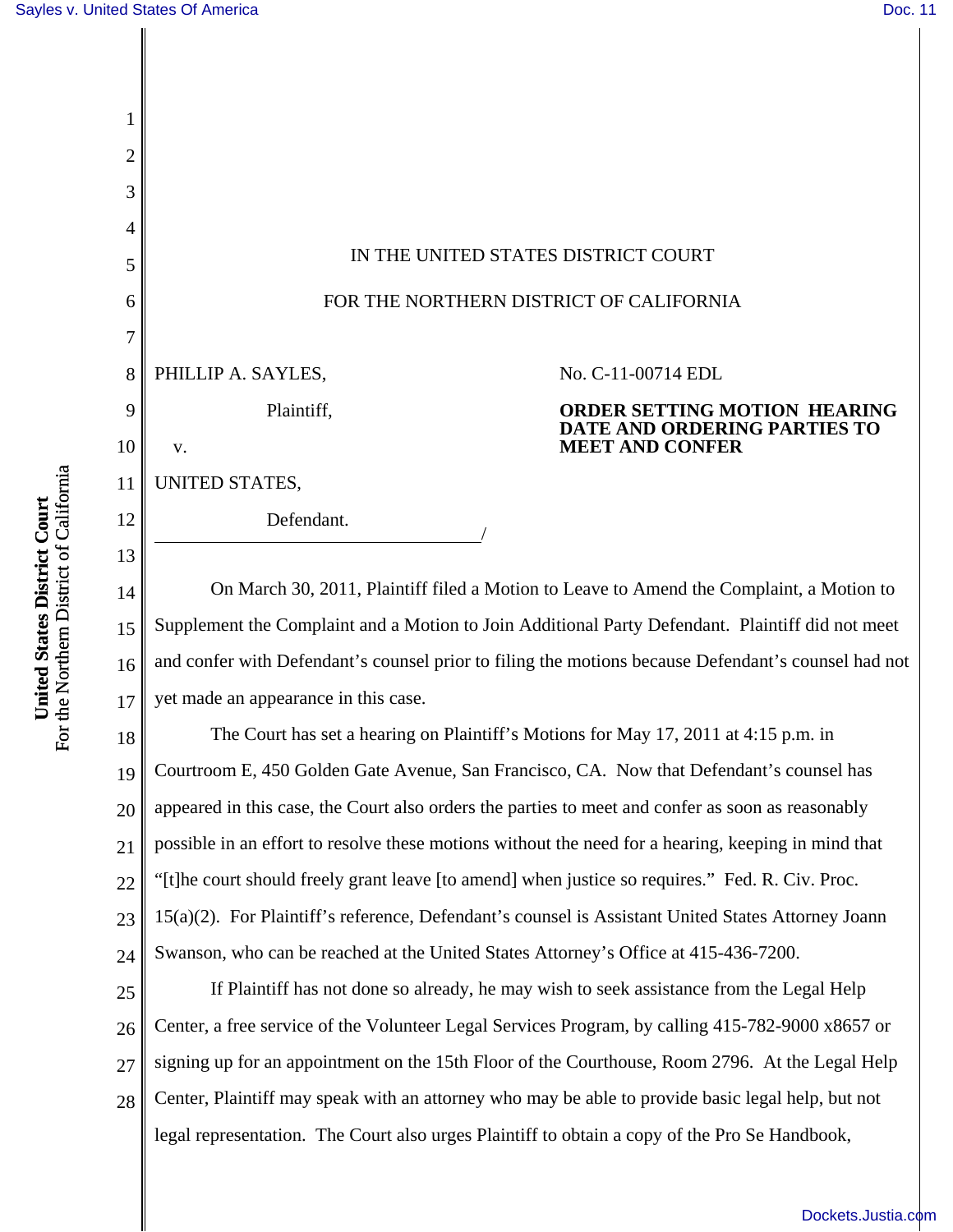| 3  |                                         |  |                                                                     |
|----|-----------------------------------------|--|---------------------------------------------------------------------|
| 4  |                                         |  |                                                                     |
| 5  | IN THE UNITED STATES DISTRICT COURT     |  |                                                                     |
| 6  | FOR THE NORTHERN DISTRICT OF CALIFORNIA |  |                                                                     |
|    |                                         |  |                                                                     |
| 8  | PHILLIP A. SAYLES,                      |  | No. C-11-00714 EDL                                                  |
| 9  | Plaintiff,                              |  | <b>ORDER SETTING MOTION HEARING</b><br>DATE AND ORDERING PARTIES TO |
| 10 | V.                                      |  | <b>MEET AND CONFER</b>                                              |
| 11 | UNITED STATES,                          |  |                                                                     |
| 12 | Defendant.                              |  |                                                                     |
| 13 |                                         |  |                                                                     |

14 15 16 17 On March 30, 2011, Plaintiff filed a Motion to Leave to Amend the Complaint, a Motion to Supplement the Complaint and a Motion to Join Additional Party Defendant. Plaintiff did not meet and confer with Defendant's counsel prior to filing the motions because Defendant's counsel had not yet made an appearance in this case.

18 19 20 21 22 23 24 The Court has set a hearing on Plaintiff's Motions for May 17, 2011 at 4:15 p.m. in Courtroom E, 450 Golden Gate Avenue, San Francisco, CA. Now that Defendant's counsel has appeared in this case, the Court also orders the parties to meet and confer as soon as reasonably possible in an effort to resolve these motions without the need for a hearing, keeping in mind that "[t]he court should freely grant leave [to amend] when justice so requires." Fed. R. Civ. Proc. 15(a)(2). For Plaintiff's reference, Defendant's counsel is Assistant United States Attorney Joann Swanson, who can be reached at the United States Attorney's Office at 415-436-7200.

25 26 27 28 If Plaintiff has not done so already, he may wish to seek assistance from the Legal Help Center, a free service of the Volunteer Legal Services Program, by calling 415-782-9000 x8657 or signing up for an appointment on the 15th Floor of the Courthouse, Room 2796. At the Legal Help Center, Plaintiff may speak with an attorney who may be able to provide basic legal help, but not legal representation. The Court also urges Plaintiff to obtain a copy of the Pro Se Handbook,